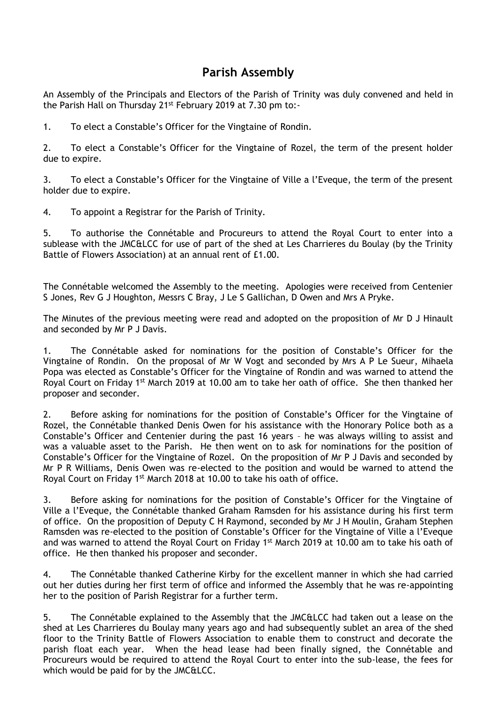## **Parish Assembly**

An Assembly of the Principals and Electors of the Parish of Trinity was duly convened and held in the Parish Hall on Thursday 21<sup>st</sup> February 2019 at 7.30 pm to:-

1. To elect a Constable's Officer for the Vingtaine of Rondin.

2. To elect a Constable's Officer for the Vingtaine of Rozel, the term of the present holder due to expire.

3. To elect a Constable's Officer for the Vingtaine of Ville a l'Eveque, the term of the present holder due to expire.

4. To appoint a Registrar for the Parish of Trinity.

5. To authorise the Connétable and Procureurs to attend the Royal Court to enter into a sublease with the JMC&LCC for use of part of the shed at Les Charrieres du Boulay (by the Trinity Battle of Flowers Association) at an annual rent of £1.00.

The Connétable welcomed the Assembly to the meeting. Apologies were received from Centenier S Jones, Rev G J Houghton, Messrs C Bray, J Le S Gallichan, D Owen and Mrs A Pryke.

The Minutes of the previous meeting were read and adopted on the proposition of Mr D J Hinault and seconded by Mr P J Davis.

1. The Connétable asked for nominations for the position of Constable's Officer for the Vingtaine of Rondin. On the proposal of Mr W Vogt and seconded by Mrs A P Le Sueur, Mihaela Popa was elected as Constable's Officer for the Vingtaine of Rondin and was warned to attend the Royal Court on Friday 1<sup>st</sup> March 2019 at 10.00 am to take her oath of office. She then thanked her proposer and seconder.

2. Before asking for nominations for the position of Constable's Officer for the Vingtaine of Rozel, the Connétable thanked Denis Owen for his assistance with the Honorary Police both as a Constable's Officer and Centenier during the past 16 years – he was always willing to assist and was a valuable asset to the Parish. He then went on to ask for nominations for the position of Constable's Officer for the Vingtaine of Rozel. On the proposition of Mr P J Davis and seconded by Mr P R Williams, Denis Owen was re-elected to the position and would be warned to attend the Royal Court on Friday 1<sup>st</sup> March 2018 at 10.00 to take his oath of office.

3. Before asking for nominations for the position of Constable's Officer for the Vingtaine of Ville a l'Eveque, the Connétable thanked Graham Ramsden for his assistance during his first term of office. On the proposition of Deputy C H Raymond, seconded by Mr J H Moulin, Graham Stephen Ramsden was re-elected to the position of Constable's Officer for the Vingtaine of Ville a l'Eveque and was warned to attend the Royal Court on Friday 1<sup>st</sup> March 2019 at 10.00 am to take his oath of office. He then thanked his proposer and seconder.

4. The Connétable thanked Catherine Kirby for the excellent manner in which she had carried out her duties during her first term of office and informed the Assembly that he was re-appointing her to the position of Parish Registrar for a further term.

5. The Connétable explained to the Assembly that the JMC&LCC had taken out a lease on the shed at Les Charrieres du Boulay many years ago and had subsequently sublet an area of the shed floor to the Trinity Battle of Flowers Association to enable them to construct and decorate the parish float each year. When the head lease had been finally signed, the Connétable and Procureurs would be required to attend the Royal Court to enter into the sub-lease, the fees for which would be paid for by the JMC&LCC.